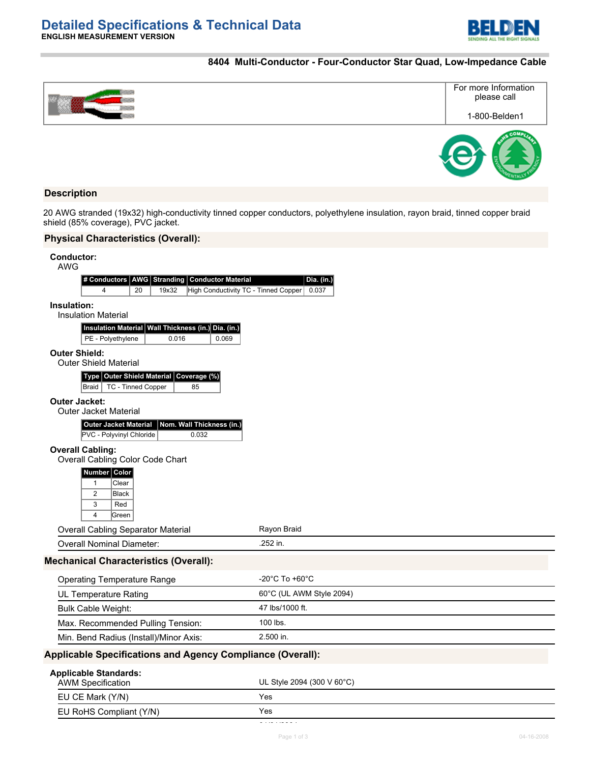

### **8404 Multi-Conductor - Four-Conductor Star Quad, Low-Impedance Cable**



### **Description**

20 AWG stranded (19x32) high-conductivity tinned copper conductors, polyethylene insulation, rayon braid, tinned copper braid shield (85% coverage), PVC jacket.

## **Physical Characteristics (Overall):**

| <b>Conductor:</b><br><b>AWG</b>        |                                                                   |                           |                  |                                 |                 |                                      |            |
|----------------------------------------|-------------------------------------------------------------------|---------------------------|------------------|---------------------------------|-----------------|--------------------------------------|------------|
|                                        | # Conductors                                                      | AWG                       | <b>Stranding</b> | <b>Conductor Material</b>       |                 |                                      | Dia. (in.) |
|                                        | 4                                                                 | 20                        | 19x32            |                                 |                 | High Conductivity TC - Tinned Copper | 0.037      |
| Insulation:                            |                                                                   |                           |                  |                                 |                 |                                      |            |
|                                        | <b>Insulation Material</b><br><b>Insulation Material</b>          |                           |                  | Wall Thickness (in.) Dia. (in.) |                 |                                      |            |
|                                        | PE - Polyethylene                                                 |                           | 0.016            | 0.069                           |                 |                                      |            |
|                                        | <b>Outer Shield:</b>                                              |                           |                  |                                 |                 |                                      |            |
|                                        | <b>Outer Shield Material</b>                                      |                           |                  |                                 |                 |                                      |            |
|                                        | Type   Outer Shield Material<br><b>Braid</b>                      | <b>TC - Tinned Copper</b> |                  | Coverage (%)<br>85              |                 |                                      |            |
|                                        | <b>Outer Jacket:</b>                                              |                           |                  |                                 |                 |                                      |            |
|                                        | <b>Outer Jacket Material</b>                                      |                           |                  |                                 |                 |                                      |            |
|                                        | <b>Outer Jacket Material</b>                                      |                           |                  | Nom. Wall Thickness (in.)       |                 |                                      |            |
|                                        | PVC - Polyvinyl Chloride                                          |                           |                  | 0.032                           |                 |                                      |            |
|                                        | <b>Overall Cabling:</b><br>Overall Cabling Color Code Chart       |                           |                  |                                 |                 |                                      |            |
|                                        | Number Color                                                      |                           |                  |                                 |                 |                                      |            |
|                                        | $\mathbf{1}$<br>Clear                                             |                           |                  |                                 |                 |                                      |            |
|                                        | $\overline{c}$<br><b>Black</b><br>3<br>Red                        |                           |                  |                                 |                 |                                      |            |
|                                        | $\overline{4}$<br>Green                                           |                           |                  |                                 |                 |                                      |            |
|                                        | <b>Overall Cabling Separator Material</b>                         |                           |                  |                                 |                 | Rayon Braid                          |            |
|                                        | <b>Overall Nominal Diameter:</b>                                  |                           |                  |                                 |                 | .252 in.                             |            |
|                                        | <b>Mechanical Characteristics (Overall):</b>                      |                           |                  |                                 |                 |                                      |            |
| <b>Operating Temperature Range</b>     |                                                                   |                           |                  |                                 |                 | $-20^{\circ}$ C To $+60^{\circ}$ C   |            |
| <b>UL Temperature Rating</b>           |                                                                   |                           |                  |                                 |                 | 60°C (UL AWM Style 2094)             |            |
| <b>Bulk Cable Weight:</b>              |                                                                   |                           |                  |                                 | 47 lbs/1000 ft. |                                      |            |
| Max. Recommended Pulling Tension:      |                                                                   |                           |                  |                                 | 100 lbs.        |                                      |            |
| Min. Bend Radius (Install)/Minor Axis: |                                                                   |                           |                  |                                 | 2.500 in.       |                                      |            |
|                                        | <b>Applicable Specifications and Agency Compliance (Overall):</b> |                           |                  |                                 |                 |                                      |            |
|                                        |                                                                   |                           |                  |                                 |                 |                                      |            |
|                                        | <b>Applicable Standards:</b><br><b>AWM Specification</b>          |                           |                  |                                 |                 | UL Style 2094 (300 V 60°C)           |            |
|                                        | EU CE Mark (Y/N)                                                  |                           |                  |                                 |                 | Yes                                  |            |
|                                        | EU RoHS Compliant (Y/N)                                           |                           |                  |                                 |                 | Yes                                  |            |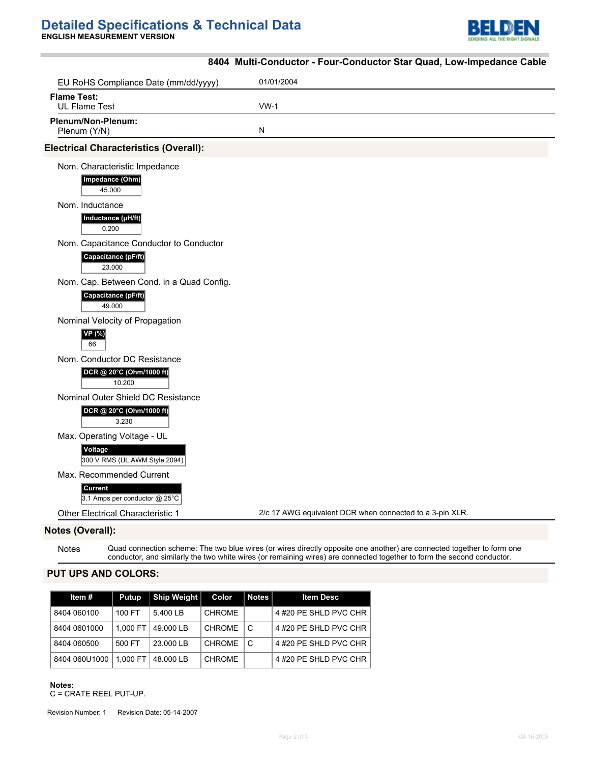# **Detailed Specifications & Technical Data**



|                                                                             | 8404 Multi-Conductor - Four-Conductor Star Quad, Low-Impedance Cable |
|-----------------------------------------------------------------------------|----------------------------------------------------------------------|
| EU RoHS Compliance Date (mm/dd/yyyy)                                        | 01/01/2004                                                           |
| <b>Flame Test:</b><br>UL Flame Test                                         | $VW-1$                                                               |
| Plenum/Non-Plenum:<br>Plenum (Y/N)                                          | N                                                                    |
| <b>Electrical Characteristics (Overall):</b>                                |                                                                      |
| Nom. Characteristic Impedance<br>Impedance (Ohm)<br>45.000                  |                                                                      |
| Nom. Inductance<br>Inductance (µH/ft)<br>0.200                              |                                                                      |
| Nom. Capacitance Conductor to Conductor<br>Capacitance (pF/ft)<br>23.000    |                                                                      |
| Nom. Cap. Between Cond. in a Quad Config.<br>Capacitance (pF/ft)<br>49.000  |                                                                      |
| Nominal Velocity of Propagation<br>VP (%)<br>66                             |                                                                      |
| Nom. Conductor DC Resistance<br>DCR @ 20°C (Ohm/1000 ft)<br>10.200          |                                                                      |
| Nominal Outer Shield DC Resistance<br>DCR @ 20°C (Ohm/1000 ft)<br>3.230     |                                                                      |
| Max. Operating Voltage - UL<br>Voltage<br>300 V RMS (UL AWM Style 2094)     |                                                                      |
| Max. Recommended Current<br><b>Current</b><br>3.1 Amps per conductor @ 25°C |                                                                      |
| <b>Other Electrical Characteristic 1</b>                                    | 2/c 17 AWG equivalent DCR when connected to a 3-pin XLR.             |
| <b>Notes (Overall):</b>                                                     |                                                                      |

Notes Quad connection scheme: The two blue wires (or wires directly opposite one another) are connected together to form one conductor, and similarly the two white wires (or remaining wires) are connected together to form the second conductor.

## **PUT UPS AND COLORS:**

| Item #        | Putup    | Ship Weight | Color         | Notes | <b>Item Desc</b>     |
|---------------|----------|-------------|---------------|-------|----------------------|
| 8404 060100   | 100 FT   | 5.400 LB    | <b>CHROME</b> |       | 4#20 PE SHLD PVC CHR |
| 8404 0601000  | 1.000 FT | 49.000 LB   | <b>CHROME</b> | l C   | 4#20 PE SHLD PVC CHR |
| 8404 060500   | 500 FT   | 23.000 LB   | <b>CHROME</b> | l C   | 4#20 PE SHLD PVC CHR |
| 8404 060U1000 | 1.000 FT | 48.000 LB   | <b>CHROME</b> |       | 4#20 PE SHLD PVC CHR |

**Notes:**

C = CRATE REEL PUT-UP.

Revision Number: 1 Revision Date: 05-14-2007